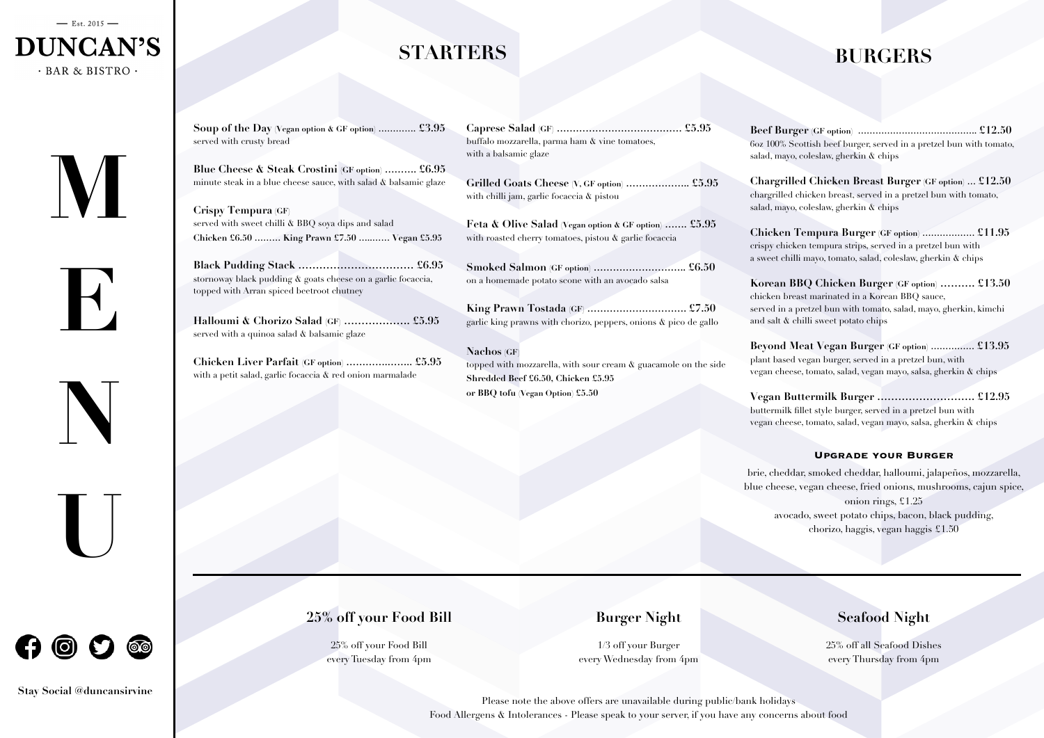# **STARTERS**

**Soup of the Day (Vegan option & GF option) …………. £3.95** served with crusty bread

**Blue Cheese & Steak Crostini (GF option) ………. £6.95** minute steak in a blue cheese sauce, with salad & balsamic glaze

**Crispy Tempura (GF)** served with sweet chilli & BBQ soya dips and salad **Chicken £6.50 ……… King Prawn £7.50 …..…… Vegan £5.95**

**Black Pudding Stack …………………………… £6.95** stornoway black pudding & goats cheese on a garlic focaccia, topped with Arran spiced beetroot chutney

**Halloumi & Chorizo Salad (GF) ………………. £5.95** served with a quinoa salad & balsamic glaze

**Chicken Liver Parfait (GF option) ………….…….. £5.95** with a petit salad, garlic focaccia & red onion marmalade

| buffalo mozzarella, parma ham & vine tomatoes, |  |
|------------------------------------------------|--|
| with a balsamic glaze                          |  |

**Grilled Goats Cheese (V, GF option) ……………….. £5.95** with chilli jam, garlic focaccia & pistou

**Feta & Olive Salad (Vegan option & GF option) ……. £5.95** with roasted cherry tomatoes, pistou & garlic focaccia

**Smoked Salmon (GF option) ……………………….. £6.50** on a homemade potato scone with an avocado salsa

**King Prawn Tostada (GF) …………………………. £7.50** garlic king prawns with chorizo, peppers, onions & pico de gallo

**Nachos (GF**) topped with mozzarella, with sour cream & guacamole on the side **Shredded Beef £6.50, Chicken £5.95 or BBQ tofu (Vegan Option) £5.50**

### **BURGERS**

**Beef Burger (GF option) ………………………………….. £12.50** 6oz 100% Scottish beef burger, served in a pretzel bun with tomato, salad, mayo, coleslaw, gherkin & chips

**Chargrilled Chicken Breast Burger (GF option) … £12.50** chargrilled chicken breast, served in a pretzel bun with tomato, salad, mayo, coleslaw, gherkin & chips

**Chicken Tempura Burger (GF option) ……………… £11.95** crispy chicken tempura strips, served in a pretzel bun with a sweet chilli mayo, tomato, salad, coleslaw, gherkin & chips

**Korean BBQ Chicken Burger (GF option) ………. £13.50** chicken breast marinated in a Korean BBQ sauce, served in a pretzel bun with tomato, salad, mayo, gherkin, kimchi and salt & chilli sweet potato chips

**Beyond Meat Vegan Burger (GF option) …………… £13.95** plant based vegan burger, served in a pretzel bun, with vegan cheese, tomato, salad, vegan mayo, salsa, gherkin & chips

**Vegan Buttermilk Burger ………………………. £12.95** buttermilk fillet style burger, served in a pretzel bun with vegan cheese, tomato, salad, vegan mayo, salsa, gherkin & chips

#### **Upgrade your Burger**

brie, cheddar, smoked cheddar, halloumi, jalapeños, mozzarella, blue cheese, vegan cheese, fried onions, mushrooms, cajun spice, onion rings, £1.25 avocado, sweet potato chips, bacon, black pudding, chorizo, haggis, vegan haggis £1.50





**E**

**N**





**Stay Social @duncansirvine**

#### **25% off your Food Bill**

25% off your Food Bill every Tuesday from 4pm

#### **Burger Night**

1/3 off your Burger every Wednesday from 4pm

#### **Seafood Night**

25% off all Seafood Dishes every Thursday from 4pm

Please note the above offers are unavailable during public/bank holidays Food Allergens & Intolerances - Please speak to your server, if you have any concerns about food